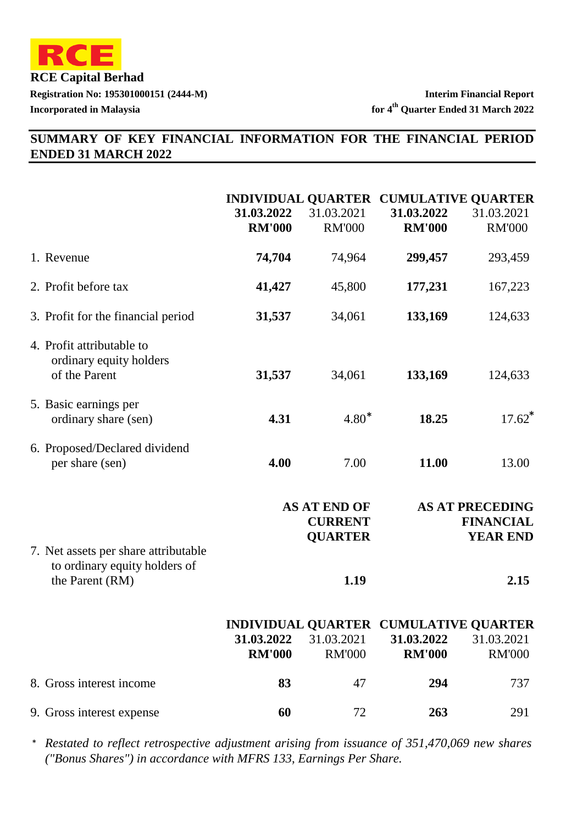

# **SUMMARY OF KEY FINANCIAL INFORMATION FOR THE FINANCIAL PERIOD ENDED 31 MARCH 2022**

|                                                                       | 31.03.2022<br><b>RM'000</b> | 31.03.2021<br><b>RM'000</b>                             | 31.03.2022<br><b>RM'000</b> | INDIVIDUAL QUARTER CUMULATIVE QUARTER<br>31.03.2021<br><b>RM'000</b> |
|-----------------------------------------------------------------------|-----------------------------|---------------------------------------------------------|-----------------------------|----------------------------------------------------------------------|
| 1. Revenue                                                            | 74,704                      | 74,964                                                  | 299,457                     | 293,459                                                              |
| 2. Profit before tax                                                  | 41,427                      | 45,800                                                  | 177,231                     | 167,223                                                              |
| 3. Profit for the financial period                                    | 31,537                      | 34,061                                                  | 133,169                     | 124,633                                                              |
| 4. Profit attributable to<br>ordinary equity holders<br>of the Parent | 31,537                      | 34,061                                                  | 133,169                     | 124,633                                                              |
| 5. Basic earnings per<br>ordinary share (sen)                         | 4.31                        | $4.80*$                                                 | 18.25                       | $17.62$ <sup>*</sup>                                                 |
| 6. Proposed/Declared dividend<br>per share (sen)                      | 4.00                        | 7.00                                                    | 11.00                       | 13.00                                                                |
| 7. Net assets per share attributable                                  |                             | <b>AS AT END OF</b><br><b>CURRENT</b><br><b>QUARTER</b> |                             | <b>AS AT PRECEDING</b><br><b>FINANCIAL</b><br><b>YEAR END</b>        |
| to ordinary equity holders of<br>the Parent (RM)                      |                             | 1.19                                                    |                             | 2.15                                                                 |
|                                                                       | 31.03.2022<br><b>RM'000</b> | 31.03.2021<br><b>RM'000</b>                             | 31.03.2022<br><b>RM'000</b> | INDIVIDUAL QUARTER CUMULATIVE QUARTER<br>31.03.2021<br><b>RM'000</b> |
| 8. Gross interest income                                              | 83                          | 47                                                      | 294                         | 737                                                                  |
| 9. Gross interest expense                                             | 60                          | 72                                                      | 263                         | 291                                                                  |

*Restated to reflect retrospective adjustment arising from issuance of 351,470,069 new shares* \**("Bonus Shares") in accordance with MFRS 133, Earnings Per Share.*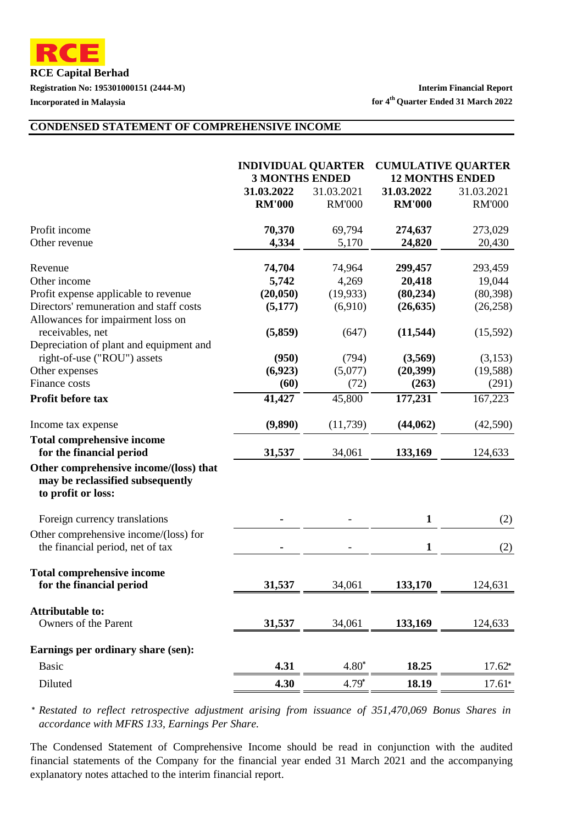**RCE Capital Berhad Registration No: 195301000151 (2444-M) Interim Financial Report**

#### **CONDENSED STATEMENT OF COMPREHENSIVE INCOME**

|                                                                                                  | <b>INDIVIDUAL QUARTER</b> |               | <b>CUMULATIVE QUARTER</b> |               |
|--------------------------------------------------------------------------------------------------|---------------------------|---------------|---------------------------|---------------|
|                                                                                                  | <b>3 MONTHS ENDED</b>     |               | <b>12 MONTHS ENDED</b>    |               |
|                                                                                                  | 31.03.2022                | 31.03.2021    | 31.03.2022                | 31.03.2021    |
|                                                                                                  | <b>RM'000</b>             | <b>RM'000</b> | <b>RM'000</b>             | <b>RM'000</b> |
| Profit income                                                                                    | 70,370                    | 69,794        | 274,637                   | 273,029       |
| Other revenue                                                                                    | 4,334                     | 5,170         | 24,820                    | 20,430        |
| Revenue                                                                                          | 74,704                    | 74,964        | 299,457                   | 293,459       |
| Other income                                                                                     | 5,742                     | 4,269         | 20,418                    | 19,044        |
| Profit expense applicable to revenue                                                             | (20, 050)                 | (19, 933)     | (80, 234)                 | (80, 398)     |
| Directors' remuneration and staff costs<br>Allowances for impairment loss on                     | (5,177)                   | (6,910)       | (26, 635)                 | (26, 258)     |
| receivables, net                                                                                 | (5,859)                   | (647)         | (11, 544)                 | (15,592)      |
| Depreciation of plant and equipment and                                                          | (950)                     | (794)         |                           | (3,153)       |
| right-of-use ("ROU") assets                                                                      | (6,923)                   | (5,077)       | (3,569)<br>(20, 399)      | (19, 588)     |
| Other expenses<br>Finance costs                                                                  | (60)                      | (72)          | (263)                     | (291)         |
| Profit before tax                                                                                | 41,427                    | 45,800        | 177,231                   | 167,223       |
| Income tax expense                                                                               | (9,890)                   | (11, 739)     | (44, 062)                 | (42,590)      |
| <b>Total comprehensive income</b>                                                                |                           |               |                           |               |
| for the financial period                                                                         | 31,537                    | 34,061        | 133,169                   | 124,633       |
| Other comprehensive income/(loss) that<br>may be reclassified subsequently<br>to profit or loss: |                           |               |                           |               |
| Foreign currency translations                                                                    |                           |               | $\mathbf{1}$              | (2)           |
| Other comprehensive income/(loss) for<br>the financial period, net of tax                        |                           |               | 1                         | (2)           |
| <b>Total comprehensive income</b><br>for the financial period                                    | 31,537                    | 34,061        | 133,170                   | 124,631       |
| <b>Attributable to:</b>                                                                          |                           |               |                           |               |
| Owners of the Parent                                                                             | 31,537                    | 34,061        | 133,169                   | 124,633       |
| Earnings per ordinary share (sen):                                                               |                           |               |                           |               |
| <b>Basic</b>                                                                                     | 4.31                      | $4.80*$       | 18.25                     | $17.62*$      |
| Diluted                                                                                          | 4.30                      | $4.79*$       | 18.19                     | $17.61*$      |

*Restated to reflect retrospective adjustment arising from issuance of 351,470,069 Bonus Shares in* \* *accordance with MFRS 133, Earnings Per Share.*

The Condensed Statement of Comprehensive Income should be read in conjunction with the audited financial statements of the Company for the financial year ended 31 March 2021 and the accompanying explanatory notes attached to the interim financial report.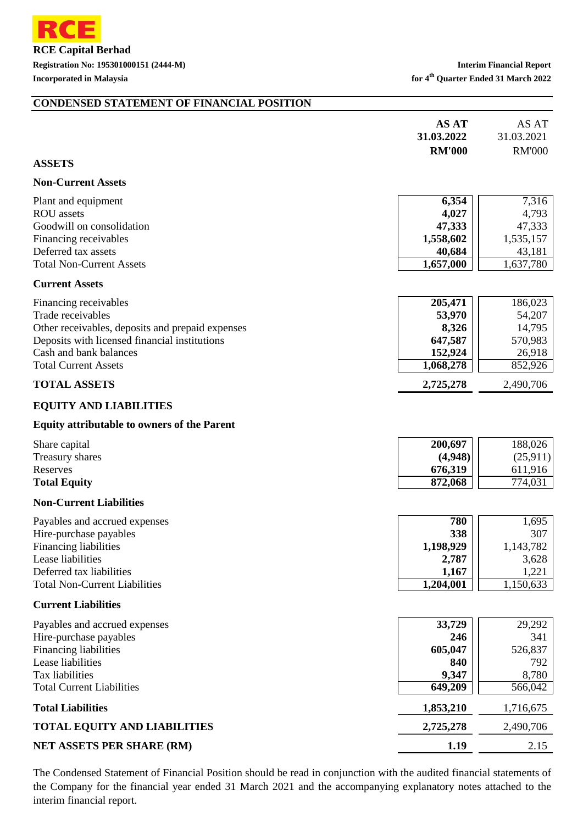

#### **CONDENSED STATEMENT OF FINANCIAL POSITION**

|                                                         | <b>AS AT</b><br>31.03.2022 | AS AT<br>31.03.2021 |
|---------------------------------------------------------|----------------------------|---------------------|
|                                                         | <b>RM'000</b>              | <b>RM'000</b>       |
| <b>ASSETS</b>                                           |                            |                     |
| <b>Non-Current Assets</b>                               |                            |                     |
| Plant and equipment                                     | 6,354                      | 7,316               |
| <b>ROU</b> assets                                       | 4,027                      | 4,793               |
| Goodwill on consolidation                               | 47,333                     | 47,333              |
| Financing receivables<br>Deferred tax assets            | 1,558,602<br>40,684        | 1,535,157<br>43,181 |
| <b>Total Non-Current Assets</b>                         | $\overline{1,}657,000$     | 1,637,780           |
| <b>Current Assets</b>                                   |                            |                     |
|                                                         | 205,471                    | 186,023             |
| Financing receivables<br>Trade receivables              | 53,970                     | 54,207              |
| Other receivables, deposits and prepaid expenses        | 8,326                      | 14,795              |
| Deposits with licensed financial institutions           | 647,587                    | 570,983             |
| Cash and bank balances                                  | 152,924                    | 26,918              |
| <b>Total Current Assets</b>                             | 1,068,278                  | 852,926             |
| <b>TOTAL ASSETS</b>                                     | 2,725,278                  | 2,490,706           |
| <b>EQUITY AND LIABILITIES</b>                           |                            |                     |
| <b>Equity attributable to owners of the Parent</b>      |                            |                     |
| Share capital                                           | 200,697                    | 188,026             |
| Treasury shares                                         | (4,948)                    | (25, 911)           |
| Reserves                                                | 676,319                    | 611,916             |
| <b>Total Equity</b>                                     | 872,068                    | 774,031             |
| <b>Non-Current Liabilities</b>                          |                            |                     |
| Payables and accrued expenses                           | 780                        | 1,695               |
| Hire-purchase payables                                  | 338                        | 307                 |
| <b>Financing liabilities</b>                            | 1,198,929                  | 1,143,782           |
| Lease liabilities<br>Deferred tax liabilities           | 2,787                      | 3,628               |
| <b>Total Non-Current Liabilities</b>                    | 1,167<br>1,204,001         | 1,221<br>1,150,633  |
| <b>Current Liabilities</b>                              |                            |                     |
|                                                         |                            |                     |
| Payables and accrued expenses<br>Hire-purchase payables | 33,729                     | 29,292<br>341       |
| Financing liabilities                                   | 246<br>605,047             | 526,837             |
| Lease liabilities                                       | 840                        | 792                 |
| Tax liabilities                                         | 9,347                      | 8,780               |
| <b>Total Current Liabilities</b>                        | 649,209                    | 566,042             |
| <b>Total Liabilities</b>                                | 1,853,210                  | 1,716,675           |
| <b>TOTAL EQUITY AND LIABILITIES</b>                     | 2,725,278                  | 2,490,706           |
| NET ASSETS PER SHARE (RM)                               | 1.19                       | 2.15                |

The Condensed Statement of Financial Position should be read in conjunction with the audited financial statements of the Company for the financial year ended 31 March 2021 and the accompanying explanatory notes attached to the interim financial report.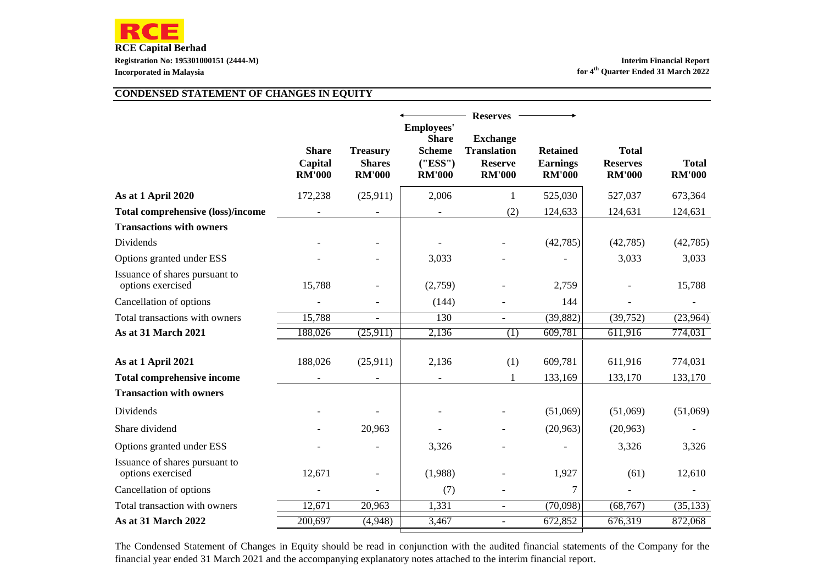#### **CONDENSED STATEMENT OF CHANGES IN EQUITY**

|                                                     | <b>Share</b><br>Capital<br><b>RM'000</b> | <b>Treasury</b><br><b>Shares</b><br><b>RM'000</b> | <b>Employees'</b><br><b>Share</b><br><b>Scheme</b><br>(''ESS'')<br><b>RM'000</b> | <b>Reserves</b><br><b>Exchange</b><br><b>Translation</b><br><b>Reserve</b><br><b>RM'000</b> | <b>Retained</b><br><b>Earnings</b><br><b>RM'000</b> | <b>Total</b><br><b>Reserves</b><br><b>RM'000</b> | <b>Total</b><br><b>RM'000</b> |
|-----------------------------------------------------|------------------------------------------|---------------------------------------------------|----------------------------------------------------------------------------------|---------------------------------------------------------------------------------------------|-----------------------------------------------------|--------------------------------------------------|-------------------------------|
| As at 1 April 2020                                  | 172,238                                  | (25,911)                                          | 2,006                                                                            | 1                                                                                           | 525,030                                             | 527,037                                          | 673,364                       |
| <b>Total comprehensive (loss)/income</b>            |                                          |                                                   |                                                                                  | (2)                                                                                         | 124,633                                             | 124,631                                          | 124,631                       |
| <b>Transactions with owners</b>                     |                                          |                                                   |                                                                                  |                                                                                             |                                                     |                                                  |                               |
| Dividends                                           |                                          |                                                   |                                                                                  |                                                                                             | (42,785)                                            | (42,785)                                         | (42, 785)                     |
| Options granted under ESS                           |                                          |                                                   | 3,033                                                                            |                                                                                             |                                                     | 3,033                                            | 3,033                         |
| Issuance of shares pursuant to<br>options exercised | 15,788                                   |                                                   | (2,759)                                                                          |                                                                                             | 2,759                                               |                                                  | 15,788                        |
| Cancellation of options                             |                                          |                                                   | (144)                                                                            |                                                                                             | 144                                                 |                                                  |                               |
| Total transactions with owners                      | 15,788                                   | $\overline{a}$                                    | 130                                                                              | $\blacksquare$                                                                              | (39, 882)                                           | (39,752)                                         | (23,964)                      |
| As at 31 March 2021                                 | 188,026                                  | (25,911)                                          | 2,136                                                                            | (1)                                                                                         | 609,781                                             | 611,916                                          | 774,031                       |
| As at 1 April 2021                                  | 188,026                                  | (25,911)                                          | 2,136                                                                            | (1)                                                                                         | 609,781                                             | 611,916                                          | 774,031                       |
| <b>Total comprehensive income</b>                   |                                          |                                                   |                                                                                  | $\mathbf{1}$                                                                                | 133,169                                             | 133,170                                          | 133,170                       |
| <b>Transaction with owners</b>                      |                                          |                                                   |                                                                                  |                                                                                             |                                                     |                                                  |                               |
| Dividends                                           |                                          |                                                   |                                                                                  |                                                                                             | (51,069)                                            | (51,069)                                         | (51,069)                      |
| Share dividend                                      |                                          | 20,963                                            |                                                                                  |                                                                                             | (20, 963)                                           | (20,963)                                         |                               |
| Options granted under ESS                           |                                          |                                                   | 3,326                                                                            |                                                                                             |                                                     | 3,326                                            | 3,326                         |
| Issuance of shares pursuant to<br>options exercised | 12,671                                   |                                                   | (1,988)                                                                          |                                                                                             | 1,927                                               | (61)                                             | 12,610                        |
| Cancellation of options                             |                                          |                                                   | (7)                                                                              |                                                                                             | 7                                                   |                                                  |                               |
| Total transaction with owners                       | 12,671                                   | 20,963                                            | 1,331                                                                            | $\blacksquare$                                                                              | (70,098)                                            | (68, 767)                                        | (35, 133)                     |
| As at 31 March 2022                                 | 200,697                                  | (4,948)                                           | 3,467                                                                            | $\overline{\phantom{a}}$                                                                    | 672,852                                             | 676,319                                          | 872,068                       |

The Condensed Statement of Changes in Equity should be read in conjunction with the audited financial statements of the Company for the financial year ended 31 March 2021 and the accompanying explanatory notes attached to the interim financial report.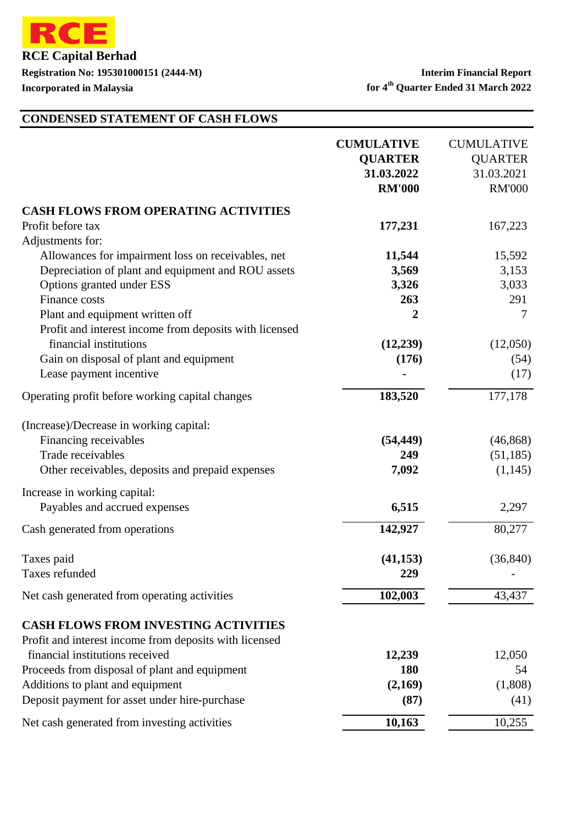

**Registration No: 195301000151 (2444-M) Interim Financial Report**

**Incorporated in Malaysia for 4<sup>th</sup> Quarter Ended 31 March 2022** 

# **CONDENSED STATEMENT OF CASH FLOWS**

|                                                        | <b>CUMULATIVE</b><br><b>QUARTER</b><br>31.03.2022<br><b>RM'000</b> | <b>CUMULATIVE</b><br><b>QUARTER</b><br>31.03.2021<br><b>RM'000</b> |
|--------------------------------------------------------|--------------------------------------------------------------------|--------------------------------------------------------------------|
| <b>CASH FLOWS FROM OPERATING ACTIVITIES</b>            |                                                                    |                                                                    |
| Profit before tax                                      | 177,231                                                            | 167,223                                                            |
| Adjustments for:                                       |                                                                    |                                                                    |
| Allowances for impairment loss on receivables, net     | 11,544                                                             | 15,592                                                             |
| Depreciation of plant and equipment and ROU assets     | 3,569                                                              | 3,153                                                              |
| Options granted under ESS                              | 3,326                                                              | 3,033                                                              |
| Finance costs                                          | 263                                                                | 291                                                                |
| Plant and equipment written off                        | $\overline{2}$                                                     | 7                                                                  |
| Profit and interest income from deposits with licensed |                                                                    |                                                                    |
| financial institutions                                 | (12,239)                                                           | (12,050)                                                           |
| Gain on disposal of plant and equipment                | (176)                                                              | (54)                                                               |
| Lease payment incentive                                |                                                                    | (17)                                                               |
| Operating profit before working capital changes        | 183,520                                                            | 177,178                                                            |
| (Increase)/Decrease in working capital:                |                                                                    |                                                                    |
| Financing receivables                                  | (54, 449)                                                          | (46, 868)                                                          |
| Trade receivables                                      | 249                                                                | (51, 185)                                                          |
| Other receivables, deposits and prepaid expenses       | 7,092                                                              | (1,145)                                                            |
| Increase in working capital:                           |                                                                    |                                                                    |
| Payables and accrued expenses                          | 6,515                                                              | 2,297                                                              |
| Cash generated from operations                         | 142,927                                                            | 80,277                                                             |
| Taxes paid                                             | (41, 153)                                                          | (36, 840)                                                          |
| Taxes refunded                                         | 229                                                                |                                                                    |
| Net cash generated from operating activities           | 102,003                                                            | 43,437                                                             |
| <b>CASH FLOWS FROM INVESTING ACTIVITIES</b>            |                                                                    |                                                                    |
| Profit and interest income from deposits with licensed |                                                                    |                                                                    |
| financial institutions received                        | 12,239                                                             | 12,050                                                             |
| Proceeds from disposal of plant and equipment          | <b>180</b>                                                         | 54                                                                 |
| Additions to plant and equipment                       | (2,169)                                                            | (1,808)                                                            |
| Deposit payment for asset under hire-purchase          | (87)                                                               | (41)                                                               |
| Net cash generated from investing activities           | 10,163                                                             | 10,255                                                             |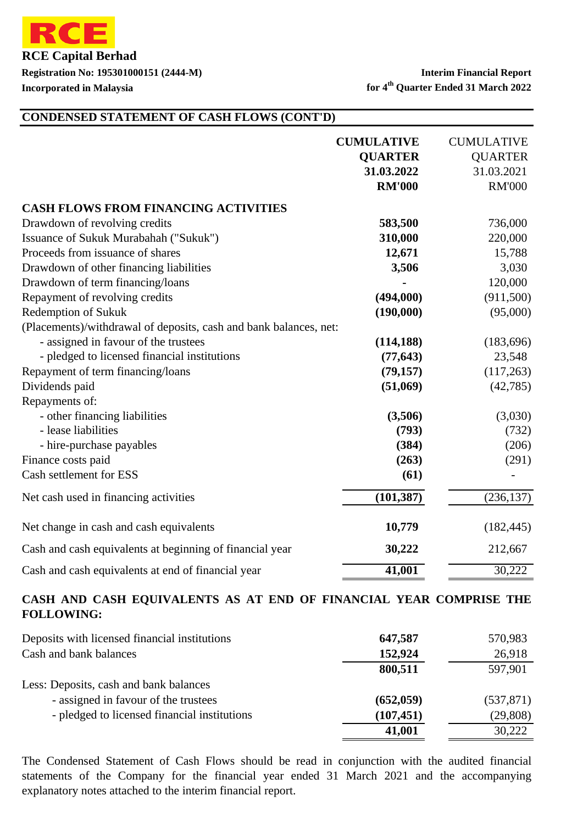

**Registration No: 195301000151 (2444-M) Interim Financial Report Incorporated in Malaysia for 4<sup>th</sup> Quarter Ended 31 March 2022** 

#### **CONDENSED STATEMENT OF CASH FLOWS (CONT'D)**

|                                                                   | <b>CUMULATIVE</b><br><b>QUARTER</b><br>31.03.2022<br><b>RM'000</b> | <b>CUMULATIVE</b><br><b>QUARTER</b><br>31.03.2021<br><b>RM'000</b> |
|-------------------------------------------------------------------|--------------------------------------------------------------------|--------------------------------------------------------------------|
| <b>CASH FLOWS FROM FINANCING ACTIVITIES</b>                       |                                                                    |                                                                    |
| Drawdown of revolving credits                                     | 583,500                                                            | 736,000                                                            |
| Issuance of Sukuk Murabahah ("Sukuk")                             | 310,000                                                            | 220,000                                                            |
| Proceeds from issuance of shares                                  | 12,671                                                             | 15,788                                                             |
| Drawdown of other financing liabilities                           | 3,506                                                              | 3,030                                                              |
| Drawdown of term financing/loans                                  |                                                                    | 120,000                                                            |
| Repayment of revolving credits                                    | (494,000)                                                          | (911,500)                                                          |
| Redemption of Sukuk                                               | (190,000)                                                          | (95,000)                                                           |
| (Placements)/withdrawal of deposits, cash and bank balances, net: |                                                                    |                                                                    |
| - assigned in favour of the trustees                              | (114, 188)                                                         | (183, 696)                                                         |
| - pledged to licensed financial institutions                      | (77, 643)                                                          | 23,548                                                             |
| Repayment of term financing/loans                                 | (79, 157)                                                          | (117,263)                                                          |
| Dividends paid                                                    | (51,069)                                                           | (42, 785)                                                          |
| Repayments of:                                                    |                                                                    |                                                                    |
| - other financing liabilities                                     | (3,506)                                                            | (3,030)                                                            |
| - lease liabilities                                               | (793)                                                              | (732)                                                              |
| - hire-purchase payables                                          | (384)                                                              | (206)                                                              |
| Finance costs paid                                                | (263)                                                              | (291)                                                              |
| Cash settlement for ESS                                           | (61)                                                               |                                                                    |
| Net cash used in financing activities                             | (101, 387)                                                         | (236, 137)                                                         |
| Net change in cash and cash equivalents                           | 10,779                                                             | (182, 445)                                                         |
| Cash and cash equivalents at beginning of financial year          | 30,222                                                             | 212,667                                                            |
| Cash and cash equivalents at end of financial year                | 41,001                                                             | 30,222                                                             |

#### **CASH AND CASH EQUIVALENTS AS AT END OF FINANCIAL YEAR COMPRISE THE FOLLOWING:**

| Deposits with licensed financial institutions | 647,587    | 570,983    |
|-----------------------------------------------|------------|------------|
| Cash and bank balances                        | 152,924    | 26,918     |
|                                               | 800,511    | 597,901    |
| Less: Deposits, cash and bank balances        |            |            |
| - assigned in favour of the trustees          | (652, 059) | (537, 871) |
| - pledged to licensed financial institutions  | (107, 451) | (29, 808)  |
|                                               | 41,001     | 30,222     |

The Condensed Statement of Cash Flows should be read in conjunction with the audited financial statements of the Company for the financial year ended 31 March 2021 and the accompanying explanatory notes attached to the interim financial report.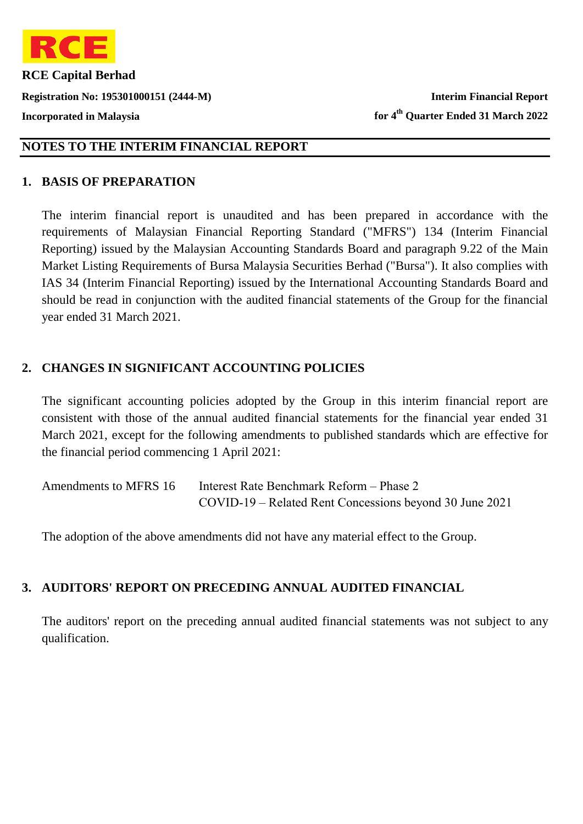

**Registration No: 195301000151 (2444-M) Interim Financial Report Incorporated in Malaysia for 4th Quarter Ended 31 March 2022**

### **NOTES TO THE INTERIM FINANCIAL REPORT**

#### **1. BASIS OF PREPARATION**

The interim financial report is unaudited and has been prepared in accordance with the requirements of Malaysian Financial Reporting Standard ("MFRS") 134 (Interim Financial Reporting) issued by the Malaysian Accounting Standards Board and paragraph 9.22 of the Main Market Listing Requirements of Bursa Malaysia Securities Berhad ("Bursa"). It also complies with IAS 34 (Interim Financial Reporting) issued by the International Accounting Standards Board and should be read in conjunction with the audited financial statements of the Group for the financial year ended 31 March 2021.

### 2. CHANGES IN SIGNIFICANT ACCOUNTING POLICIES

The significant accounting policies adopted by the Group in this interim financial report are consistent with those of the annual audited financial statements for the financial year ended 31 March 2021, except for the following amendments to published standards which are effective for the financial period commencing 1 April 2021:

| Amendments to MFRS 16 | Interest Rate Benchmark Reform – Phase 2                |
|-----------------------|---------------------------------------------------------|
|                       | COVID-19 – Related Rent Concessions beyond 30 June 2021 |

The adoption of the above amendments did not have any material effect to the Group.

### **3. AUDITORS' REPORT ON PRECEDING ANNUAL AUDITED FINANCIAL**

The auditors' report on the preceding annual audited financial statements was not subject to any qualification.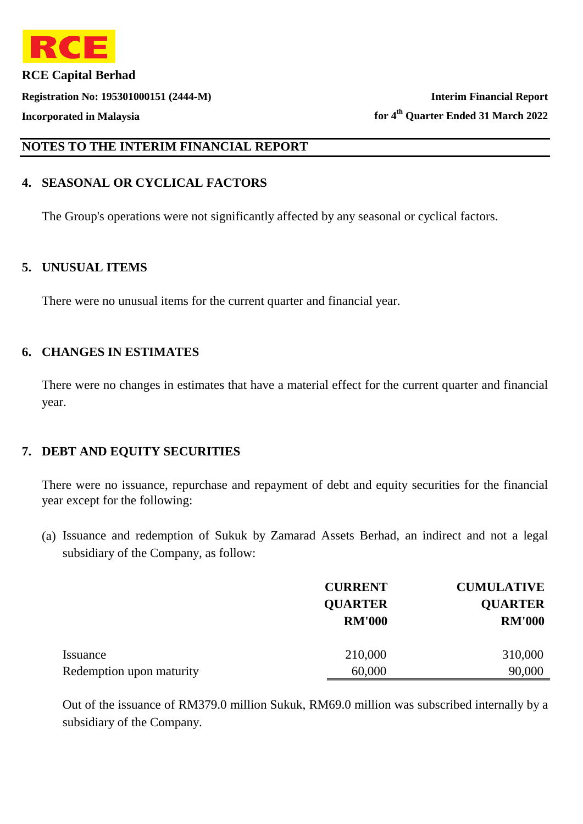

**Registration No: 195301000151 (2444-M) Interim Financial Report Incorporated in Malaysia for 4th Quarter Ended 31 March 2022**

#### **NOTES TO THE INTERIM FINANCIAL REPORT**

# **4. SEASONAL OR CYCLICAL FACTORS**

The Group's operations were not significantly affected by any seasonal or cyclical factors.

#### **5. UNUSUAL ITEMS**

There were no unusual items for the current quarter and financial year.

#### **6. CHANGES IN ESTIMATES**

There were no changes in estimates that have a material effect for the current quarter and financial year.

### **7. DEBT AND EQUITY SECURITIES**

There were no issuance, repurchase and repayment of debt and equity securities for the financial year except for the following:

(a) Issuance and redemption of Sukuk by Zamarad Assets Berhad, an indirect and not a legal subsidiary of the Company, as follow:

|                          | <b>CURRENT</b> | <b>CUMULATIVE</b> |
|--------------------------|----------------|-------------------|
|                          | <b>QUARTER</b> | <b>QUARTER</b>    |
|                          | <b>RM'000</b>  | <b>RM'000</b>     |
| Issuance                 | 210,000        | 310,000           |
| Redemption upon maturity | 60,000         | 90,000            |

Out of the issuance of RM379.0 million Sukuk, RM69.0 million was subscribed internally by a subsidiary of the Company.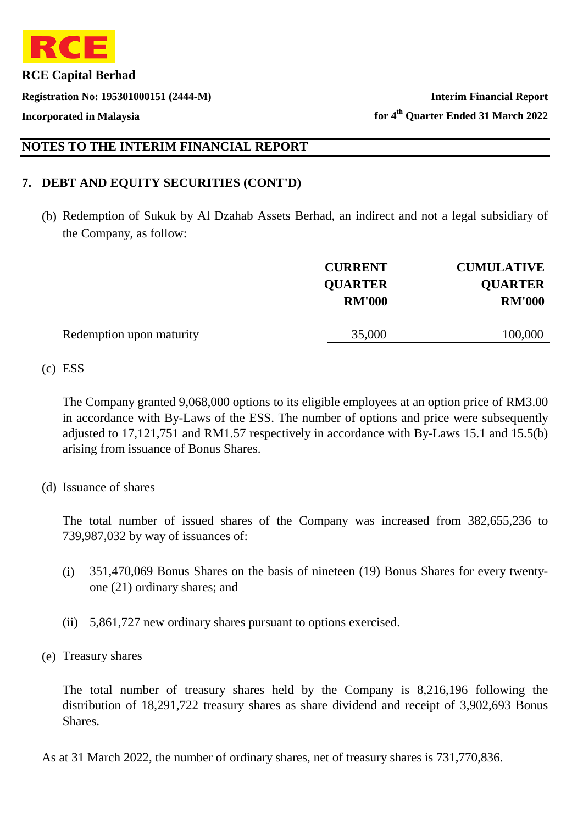

**Registration No: 195301000151 (2444-M) Interim Financial Report**

**Incorporated in Malaysia for 4th Quarter Ended 31 March 2022**

### **NOTES TO THE INTERIM FINANCIAL REPORT**

### **7. DEBT AND EQUITY SECURITIES (CONT'D)**

(b) Redemption of Sukuk by Al Dzahab Assets Berhad, an indirect and not a legal subsidiary of the Company, as follow:

|                          | <b>CURRENT</b> | <b>CUMULATIVE</b> |
|--------------------------|----------------|-------------------|
|                          | <b>QUARTER</b> | <b>QUARTER</b>    |
|                          | <b>RM'000</b>  | <b>RM'000</b>     |
|                          |                |                   |
| Redemption upon maturity | 35,000         | 100,000           |
|                          |                |                   |

(c) ESS

The Company granted 9,068,000 options to its eligible employees at an option price of RM3.00 in accordance with By-Laws of the ESS. The number of options and price were subsequently adjusted to 17,121,751 and RM1.57 respectively in accordance with By-Laws 15.1 and 15.5(b) arising from issuance of Bonus Shares.

#### (d) Issuance of shares

The total number of issued shares of the Company was increased from 382,655,236 to 739,987,032 by way of issuances of:

- (i) 351,470,069 Bonus Shares on the basis of nineteen (19) Bonus Shares for every twentyone (21) ordinary shares; and
- (ii) 5,861,727 new ordinary shares pursuant to options exercised.
- (e) Treasury shares

The total number of treasury shares held by the Company is 8,216,196 following the distribution of 18,291,722 treasury shares as share dividend and receipt of 3,902,693 Bonus Shares.

As at 31 March 2022, the number of ordinary shares, net of treasury shares is 731,770,836.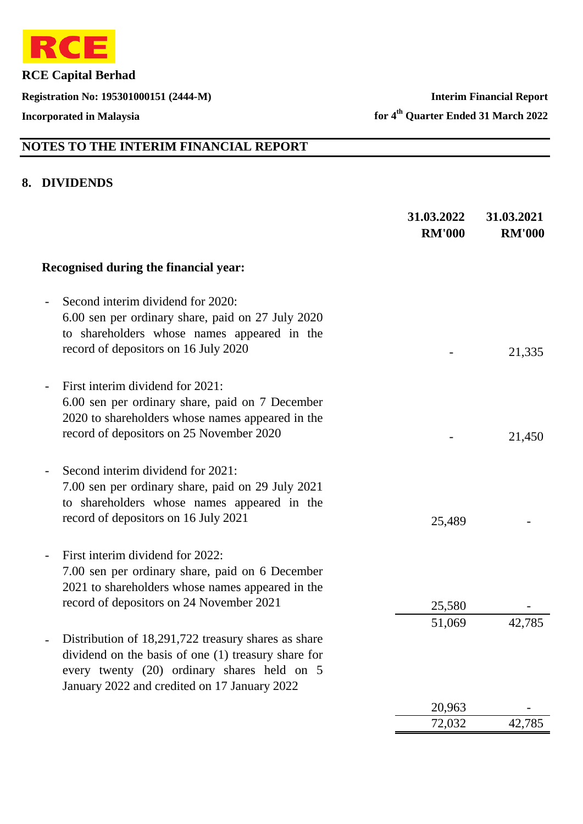

**Registration No: 195301000151 (2444-M) Interim Financial Report**

**Incorporated in Malaysia for 4th Quarter Ended 31 March 2022**

# **NOTES TO THE INTERIM FINANCIAL REPORT**

#### **8. DIVIDENDS**

|                                                                                                                                                                                                           | 31.03.2022<br><b>RM'000</b> | 31.03.2021<br><b>RM'000</b> |
|-----------------------------------------------------------------------------------------------------------------------------------------------------------------------------------------------------------|-----------------------------|-----------------------------|
| Recognised during the financial year:                                                                                                                                                                     |                             |                             |
| Second interim dividend for 2020:<br>6.00 sen per ordinary share, paid on 27 July 2020<br>to shareholders whose names appeared in the<br>record of depositors on 16 July 2020                             |                             | 21,335                      |
| First interim dividend for 2021:<br>6.00 sen per ordinary share, paid on 7 December<br>2020 to shareholders whose names appeared in the<br>record of depositors on 25 November 2020                       |                             | 21,450                      |
| Second interim dividend for 2021:<br>7.00 sen per ordinary share, paid on 29 July 2021<br>to shareholders whose names appeared in the<br>record of depositors on 16 July 2021                             | 25,489                      |                             |
| First interim dividend for 2022:<br>7.00 sen per ordinary share, paid on 6 December<br>2021 to shareholders whose names appeared in the<br>record of depositors on 24 November 2021                       | 25,580                      |                             |
| Distribution of 18,291,722 treasury shares as share<br>dividend on the basis of one (1) treasury share for<br>every twenty (20) ordinary shares held on 5<br>January 2022 and credited on 17 January 2022 | 51,069                      | 42,785                      |
|                                                                                                                                                                                                           | 20,963                      |                             |
|                                                                                                                                                                                                           | 72,032                      | 42,785                      |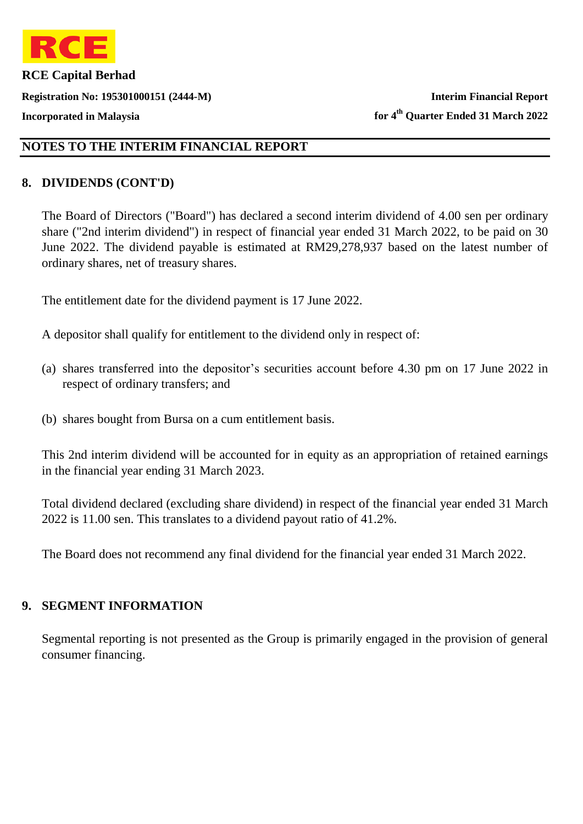

**Registration No: 195301000151 (2444-M) Interim Financial Report**

**Incorporated in Malaysia for 4th Quarter Ended 31 March 2022**

# **NOTES TO THE INTERIM FINANCIAL REPORT**

### **8. DIVIDENDS (CONT'D)**

The Board of Directors ("Board") has declared a second interim dividend of 4.00 sen per ordinary share ("2nd interim dividend") in respect of financial year ended 31 March 2022, to be paid on 30 June 2022. The dividend payable is estimated at RM29,278,937 based on the latest number of ordinary shares, net of treasury shares.

The entitlement date for the dividend payment is 17 June 2022.

A depositor shall qualify for entitlement to the dividend only in respect of:

- (a) shares transferred into the depositor's securities account before 4.30 pm on 17 June 2022 in respect of ordinary transfers; and
- (b) shares bought from Bursa on a cum entitlement basis.

This 2nd interim dividend will be accounted for in equity as an appropriation of retained earnings in the financial year ending 31 March 2023.

Total dividend declared (excluding share dividend) in respect of the financial year ended 31 March 2022 is 11.00 sen. This translates to a dividend payout ratio of 41.2%.

The Board does not recommend any final dividend for the financial year ended 31 March 2022.

### **9. SEGMENT INFORMATION**

Segmental reporting is not presented as the Group is primarily engaged in the provision of general consumer financing.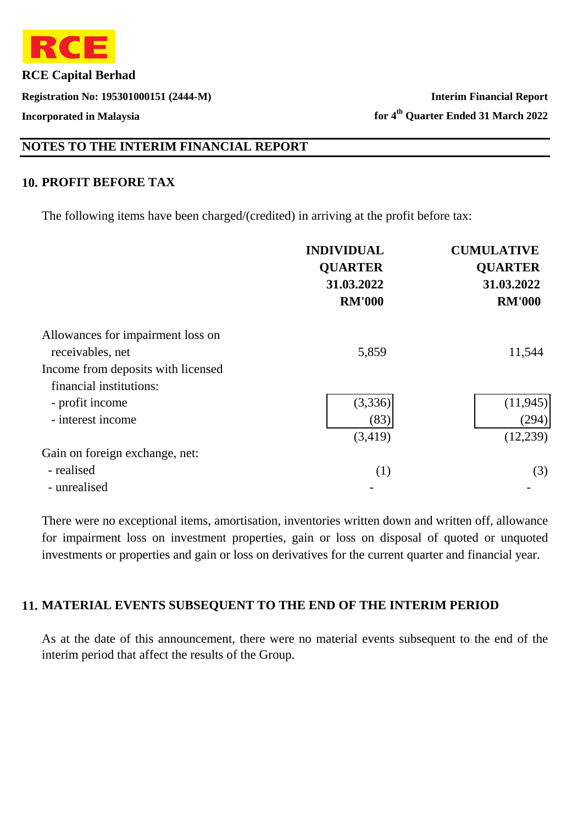

**Registration No: 195301000151 (2444-M) Interim Financial Report**

# **NOTES TO THE INTERIM FINANCIAL REPORT**

# **10. PROFIT BEFORE TAX**

The following items have been charged/(credited) in arriving at the profit before tax:

|                                    | <b>INDIVIDUAL</b><br><b>QUARTER</b><br>31.03.2022<br><b>RM'000</b> | <b>CUMULATIVE</b><br><b>OUARTER</b><br>31.03.2022<br><b>RM'000</b> |
|------------------------------------|--------------------------------------------------------------------|--------------------------------------------------------------------|
| Allowances for impairment loss on  |                                                                    |                                                                    |
| receivables, net                   | 5,859                                                              | 11,544                                                             |
| Income from deposits with licensed |                                                                    |                                                                    |
| financial institutions:            |                                                                    |                                                                    |
| - profit income                    | (3,336)                                                            | (11, 945)                                                          |
| - interest income                  | (83)                                                               | (294)                                                              |
|                                    | (3,419)                                                            | (12,239)                                                           |
| Gain on foreign exchange, net:     |                                                                    |                                                                    |
| - realised                         | (1)                                                                | (3)                                                                |
| - unrealised                       |                                                                    |                                                                    |

There were no exceptional items, amortisation, inventories written down and written off, allowance for impairment loss on investment properties, gain or loss on disposal of quoted or unquoted investments or properties and gain or loss on derivatives for the current quarter and financial year.

# **11. MATERIAL EVENTS SUBSEQUENT TO THE END OF THE INTERIM PERIOD**

As at the date of this announcement, there were no material events subsequent to the end of the interim period that affect the results of the Group.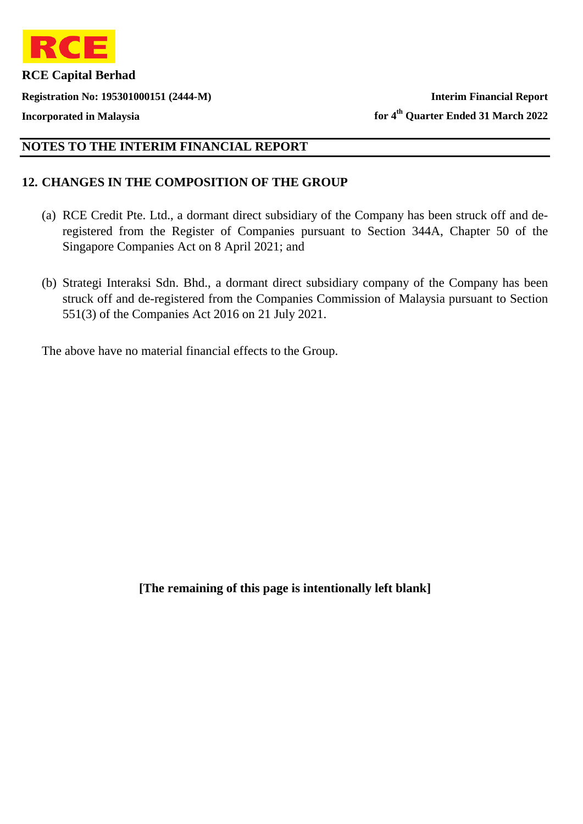

**Registration No: 195301000151 (2444-M) Interim Financial Report**

**Incorporated in Malaysia for 4th Quarter Ended 31 March 2022**

## **NOTES TO THE INTERIM FINANCIAL REPORT**

### **12. CHANGES IN THE COMPOSITION OF THE GROUP**

- (a) RCE Credit Pte. Ltd., a dormant direct subsidiary of the Company has been struck off and deregistered from the Register of Companies pursuant to Section 344A, Chapter 50 of the Singapore Companies Act on 8 April 2021; and
- (b) Strategi Interaksi Sdn. Bhd., a dormant direct subsidiary company of the Company has been struck off and de-registered from the Companies Commission of Malaysia pursuant to Section 551(3) of the Companies Act 2016 on 21 July 2021.

The above have no material financial effects to the Group.

**[The remaining of this page is intentionally left blank]**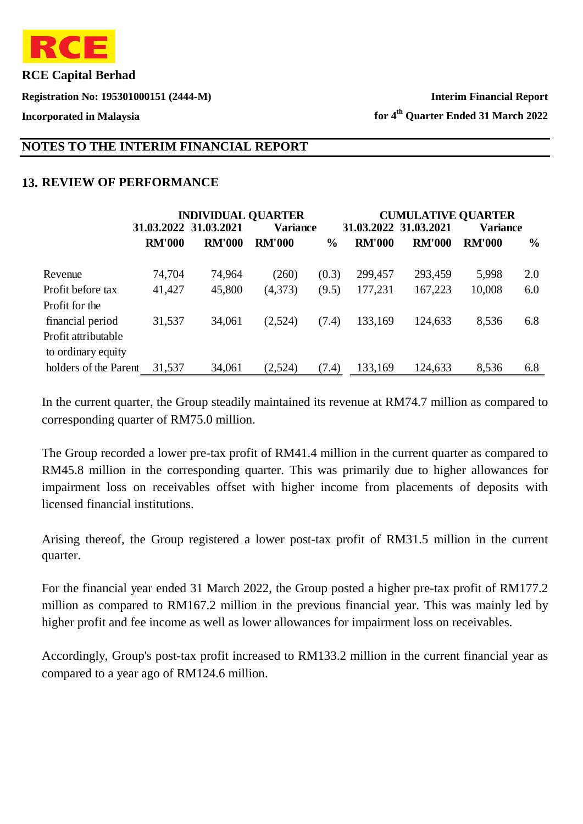

**Registration No: 195301000151 (2444-M) Interim Financial Report**

**Incorporated in Malaysia for 4th Quarter Ended 31 March 2022**

### **NOTES TO THE INTERIM FINANCIAL REPORT**

## **13. REVIEW OF PERFORMANCE**

|                       |               | <b>INDIVIDUAL QUARTER</b> |                 |               |                       | <b>CUMULATIVE QUARTER</b> |                 |               |
|-----------------------|---------------|---------------------------|-----------------|---------------|-----------------------|---------------------------|-----------------|---------------|
|                       |               | 31.03.2022 31.03.2021     | <b>Variance</b> |               | 31.03.2022 31.03.2021 |                           | <b>Variance</b> |               |
|                       | <b>RM'000</b> | <b>RM'000</b>             | <b>RM'000</b>   | $\frac{6}{9}$ | <b>RM'000</b>         | <b>RM'000</b>             | <b>RM'000</b>   | $\frac{0}{0}$ |
| Revenue               | 74,704        | 74,964                    | (260)           | (0.3)         | 299,457               | 293,459                   | 5,998           | 2.0           |
| Profit before tax     | 41,427        | 45,800                    | (4,373)         | (9.5)         | 177,231               | 167,223                   | 10,008          | 6.0           |
| Profit for the        |               |                           |                 |               |                       |                           |                 |               |
| financial period      | 31,537        | 34,061                    | (2,524)         | (7.4)         | 133,169               | 124,633                   | 8,536           | 6.8           |
| Profit attributable   |               |                           |                 |               |                       |                           |                 |               |
| to ordinary equity    |               |                           |                 |               |                       |                           |                 |               |
| holders of the Parent | 31,537        | 34,061                    | (2,524)         | (7.4)         | 133,169               | 124,633                   | 8,536           | 6.8           |

In the current quarter, the Group steadily maintained its revenue at RM74.7 million as compared to corresponding quarter of RM75.0 million.

The Group recorded a lower pre-tax profit of RM41.4 million in the current quarter as compared to RM45.8 million in the corresponding quarter. This was primarily due to higher allowances for impairment loss on receivables offset with higher income from placements of deposits with licensed financial institutions.

Arising thereof, the Group registered a lower post-tax profit of RM31.5 million in the current quarter.

For the financial year ended 31 March 2022, the Group posted a higher pre-tax profit of RM177.2 million as compared to RM167.2 million in the previous financial year. This was mainly led by higher profit and fee income as well as lower allowances for impairment loss on receivables.

Accordingly, Group's post-tax profit increased to RM133.2 million in the current financial year as compared to a year ago of RM124.6 million.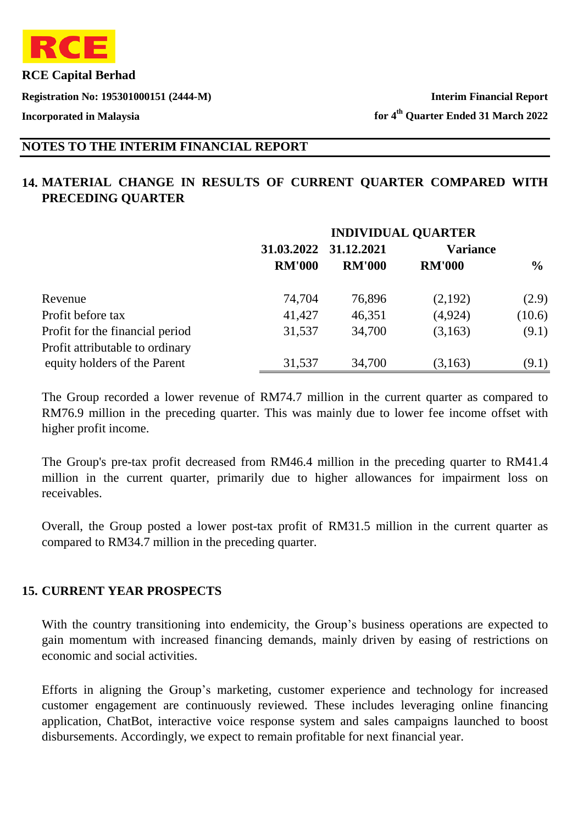

**Registration No: 195301000151 (2444-M) Interim Financial Report**

**Incorporated in Malaysia for 4th Quarter Ended 31 March 2022**

## **NOTES TO THE INTERIM FINANCIAL REPORT**

# **14. MATERIAL CHANGE IN RESULTS OF CURRENT QUARTER COMPARED WITH PRECEDING QUARTER**

|                                 | <b>INDIVIDUAL QUARTER</b> |                          |               |                 |  |
|---------------------------------|---------------------------|--------------------------|---------------|-----------------|--|
|                                 |                           | 31.03.2022<br>31.12.2021 |               | <b>Variance</b> |  |
|                                 | <b>RM'000</b>             | <b>RM'000</b>            | <b>RM'000</b> | $\frac{6}{9}$   |  |
| Revenue                         | 74,704                    | 76,896                   | (2,192)       | (2.9)           |  |
| Profit before tax               | 41,427                    | 46,351                   | (4,924)       | (10.6)          |  |
| Profit for the financial period | 31,537                    | 34,700                   | (3,163)       | (9.1)           |  |
| Profit attributable to ordinary |                           |                          |               |                 |  |
| equity holders of the Parent    | 31,537                    | 34,700                   | (3,163)       | (9.1)           |  |

The Group recorded a lower revenue of RM74.7 million in the current quarter as compared to RM76.9 million in the preceding quarter. This was mainly due to lower fee income offset with higher profit income.

The Group's pre-tax profit decreased from RM46.4 million in the preceding quarter to RM41.4 million in the current quarter, primarily due to higher allowances for impairment loss on receivables.

Overall, the Group posted a lower post-tax profit of RM31.5 million in the current quarter as compared to RM34.7 million in the preceding quarter.

#### **15. CURRENT YEAR PROSPECTS**

With the country transitioning into endemicity, the Group's business operations are expected to gain momentum with increased financing demands, mainly driven by easing of restrictions on economic and social activities.

Efforts in aligning the Group's marketing, customer experience and technology for increased customer engagement are continuously reviewed. These includes leveraging online financing application, ChatBot, interactive voice response system and sales campaigns launched to boost disbursements. Accordingly, we expect to remain profitable for next financial year.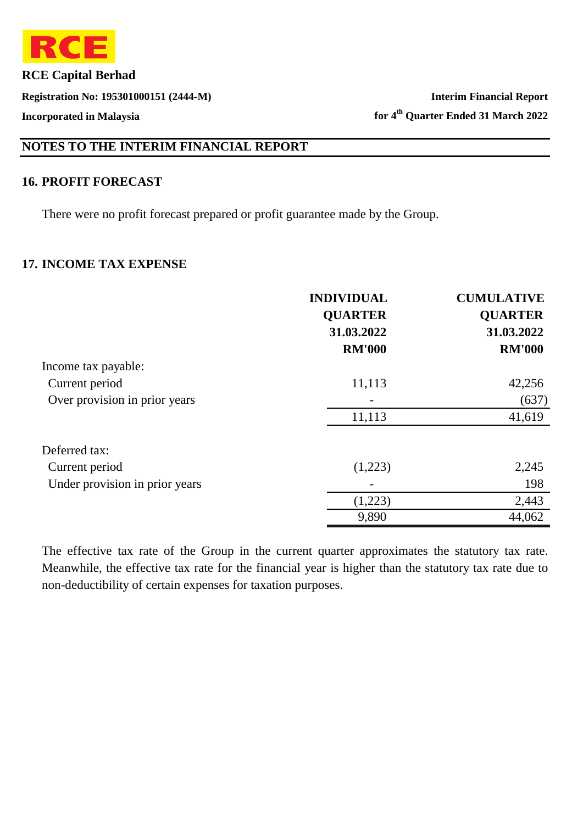

**Registration No: 195301000151 (2444-M) Interim Financial Report**

**Incorporated in Malaysia for 4th Quarter Ended 31 March 2022**

# **NOTES TO THE INTERIM FINANCIAL REPORT**

#### **16. PROFIT FORECAST**

There were no profit forecast prepared or profit guarantee made by the Group.

#### **17. INCOME TAX EXPENSE**

|                                | <b>INDIVIDUAL</b> | <b>CUMULATIVE</b> |
|--------------------------------|-------------------|-------------------|
|                                | <b>QUARTER</b>    | <b>QUARTER</b>    |
|                                | 31.03.2022        | 31.03.2022        |
|                                | <b>RM'000</b>     | <b>RM'000</b>     |
| Income tax payable:            |                   |                   |
| Current period                 | 11,113            | 42,256            |
| Over provision in prior years  |                   | (637)             |
|                                | 11,113            | 41,619            |
| Deferred tax:                  |                   |                   |
| Current period                 | (1,223)           | 2,245             |
| Under provision in prior years |                   | 198               |
|                                | (1,223)           | 2,443             |
|                                | 9,890             | 44,062            |

The effective tax rate of the Group in the current quarter approximates the statutory tax rate. Meanwhile, the effective tax rate for the financial year is higher than the statutory tax rate due to non-deductibility of certain expenses for taxation purposes.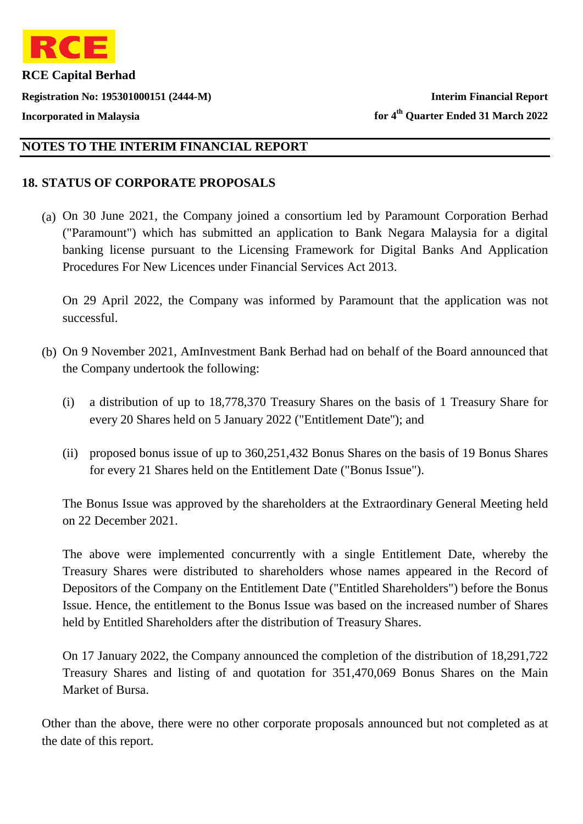

**Registration No: 195301000151 (2444-M) Interim Financial Report**

**Incorporated in Malaysia for 4th Quarter Ended 31 March 2022**

#### **NOTES TO THE INTERIM FINANCIAL REPORT**

# **18. STATUS OF CORPORATE PROPOSALS**

(a) On 30 June 2021, the Company joined a consortium led by Paramount Corporation Berhad ("Paramount") which has submitted an application to Bank Negara Malaysia for a digital banking license pursuant to the Licensing Framework for Digital Banks And Application Procedures For New Licences under Financial Services Act 2013.

On 29 April 2022, the Company was informed by Paramount that the application was not successful.

- (b) On 9 November 2021, AmInvestment Bank Berhad had on behalf of the Board announced that the Company undertook the following:
	- (i) a distribution of up to 18,778,370 Treasury Shares on the basis of 1 Treasury Share for every 20 Shares held on 5 January 2022 ("Entitlement Date''); and
	- (ii) proposed bonus issue of up to 360,251,432 Bonus Shares on the basis of 19 Bonus Shares for every 21 Shares held on the Entitlement Date ("Bonus Issue").

The Bonus Issue was approved by the shareholders at the Extraordinary General Meeting held on 22 December 2021.

The above were implemented concurrently with a single Entitlement Date, whereby the Treasury Shares were distributed to shareholders whose names appeared in the Record of Depositors of the Company on the Entitlement Date ("Entitled Shareholders") before the Bonus Issue. Hence, the entitlement to the Bonus Issue was based on the increased number of Shares held by Entitled Shareholders after the distribution of Treasury Shares.

On 17 January 2022, the Company announced the completion of the distribution of 18,291,722 Treasury Shares and listing of and quotation for 351,470,069 Bonus Shares on the Main Market of Bursa.

Other than the above, there were no other corporate proposals announced but not completed as at the date of this report.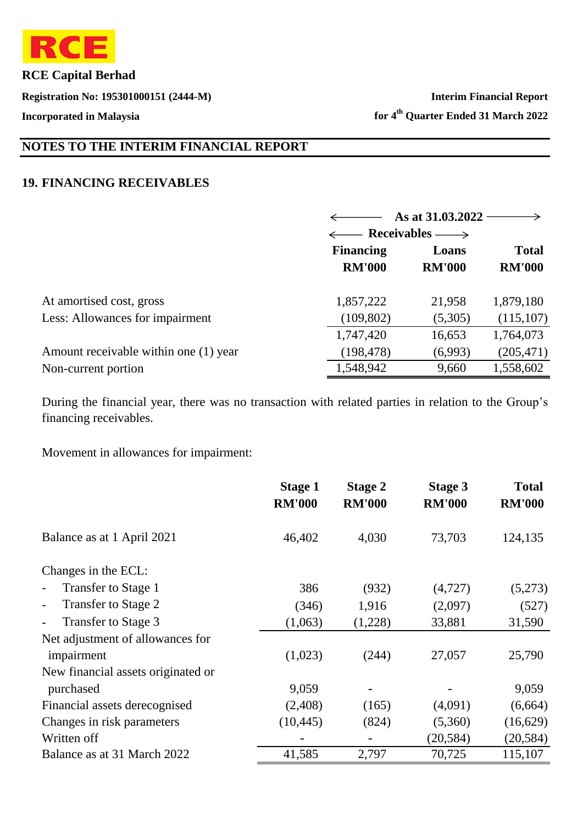

**Registration No: 195301000151 (2444-M) Interim Financial Report**

**Incorporated in Malaysia for 4th Quarter Ended 31 March 2022**

# **NOTES TO THE INTERIM FINANCIAL REPORT**

#### **19. FINANCING RECEIVABLES**

|                                       |                  | As at 31.03.2022         |               |  |  |
|---------------------------------------|------------------|--------------------------|---------------|--|--|
|                                       |                  | $\leftarrow$ Receivables |               |  |  |
|                                       | <b>Financing</b> | Loans                    | <b>Total</b>  |  |  |
|                                       | <b>RM'000</b>    | <b>RM'000</b>            | <b>RM'000</b> |  |  |
| At amortised cost, gross              | 1,857,222        | 21,958                   | 1,879,180     |  |  |
| Less: Allowances for impairment       | (109, 802)       | (5,305)                  | (115, 107)    |  |  |
|                                       | 1,747,420        | 16,653                   | 1,764,073     |  |  |
| Amount receivable within one (1) year | (198, 478)       | (6,993)                  | (205, 471)    |  |  |
| Non-current portion                   | 1,548,942        | 9,660                    | 1,558,602     |  |  |

During the financial year, there was no transaction with related parties in relation to the Group's financing receivables.

Movement in allowances for impairment:

|                                                 | <b>Stage 1</b><br><b>RM'000</b> | <b>Stage 2</b><br><b>RM'000</b> | <b>Stage 3</b><br><b>RM'000</b> | <b>Total</b><br><b>RM'000</b> |
|-------------------------------------------------|---------------------------------|---------------------------------|---------------------------------|-------------------------------|
| Balance as at 1 April 2021                      | 46,402                          | 4,030                           | 73,703                          | 124,135                       |
| Changes in the ECL:                             |                                 |                                 |                                 |                               |
| Transfer to Stage 1<br>$\overline{\phantom{0}}$ | 386                             | (932)                           | (4,727)                         | (5,273)                       |
| Transfer to Stage 2<br>$\overline{\phantom{a}}$ | (346)                           | 1,916                           | (2,097)                         | (527)                         |
| Transfer to Stage 3                             | (1,063)                         | (1,228)                         | 33,881                          | 31,590                        |
| Net adjustment of allowances for                |                                 |                                 |                                 |                               |
| impairment                                      | (1,023)                         | (244)                           | 27,057                          | 25,790                        |
| New financial assets originated or              |                                 |                                 |                                 |                               |
| purchased                                       | 9,059                           |                                 |                                 | 9,059                         |
| Financial assets derecognised                   | (2,408)                         | (165)                           | (4,091)                         | (6,664)                       |
| Changes in risk parameters                      | (10, 445)                       | (824)                           | (5,360)                         | (16,629)                      |
| Written off                                     |                                 |                                 | (20, 584)                       | (20, 584)                     |
| Balance as at 31 March 2022                     | 41,585                          | 2,797                           | 70,725                          | 115,107                       |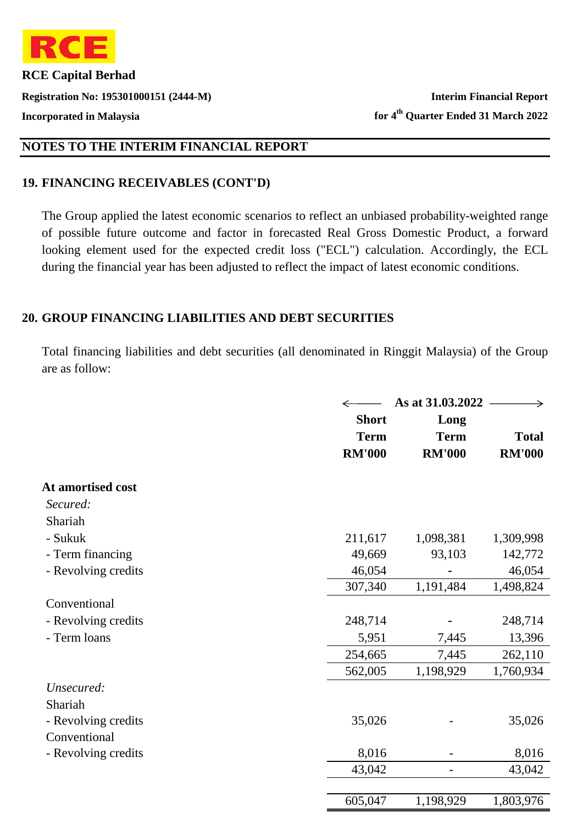

**Registration No: 195301000151 (2444-M) Interim Financial Report**

**Incorporated in Malaysia for 4th Quarter Ended 31 March 2022**

### **NOTES TO THE INTERIM FINANCIAL REPORT**

### **19. FINANCING RECEIVABLES (CONT'D)**

The Group applied the latest economic scenarios to reflect an unbiased probability-weighted range of possible future outcome and factor in forecasted Real Gross Domestic Product, a forward looking element used for the expected credit loss ("ECL") calculation. Accordingly, the ECL during the financial year has been adjusted to reflect the impact of latest economic conditions.

#### **20. GROUP FINANCING LIABILITIES AND DEBT SECURITIES**

Total financing liabilities and debt securities (all denominated in Ringgit Malaysia) of the Group are as follow:

|                     | As at 31.03.2022 |               |               |  |
|---------------------|------------------|---------------|---------------|--|
|                     | <b>Short</b>     | Long          |               |  |
|                     | <b>Term</b>      | <b>Term</b>   | <b>Total</b>  |  |
|                     | <b>RM'000</b>    | <b>RM'000</b> | <b>RM'000</b> |  |
| At amortised cost   |                  |               |               |  |
| Secured:            |                  |               |               |  |
| Shariah             |                  |               |               |  |
| - Sukuk             | 211,617          | 1,098,381     | 1,309,998     |  |
| - Term financing    | 49,669           | 93,103        | 142,772       |  |
| - Revolving credits | 46,054           |               | 46,054        |  |
|                     | 307,340          | 1,191,484     | 1,498,824     |  |
| Conventional        |                  |               |               |  |
| - Revolving credits | 248,714          |               | 248,714       |  |
| - Term loans        | 5,951            | 7,445         | 13,396        |  |
|                     | 254,665          | 7,445         | 262,110       |  |
|                     | 562,005          | 1,198,929     | 1,760,934     |  |
| Unsecured:          |                  |               |               |  |
| Shariah             |                  |               |               |  |
| - Revolving credits | 35,026           |               | 35,026        |  |
| Conventional        |                  |               |               |  |
| - Revolving credits | 8,016            |               | 8,016         |  |
|                     | 43,042           |               | 43,042        |  |
|                     | 605,047          | 1,198,929     | 1,803,976     |  |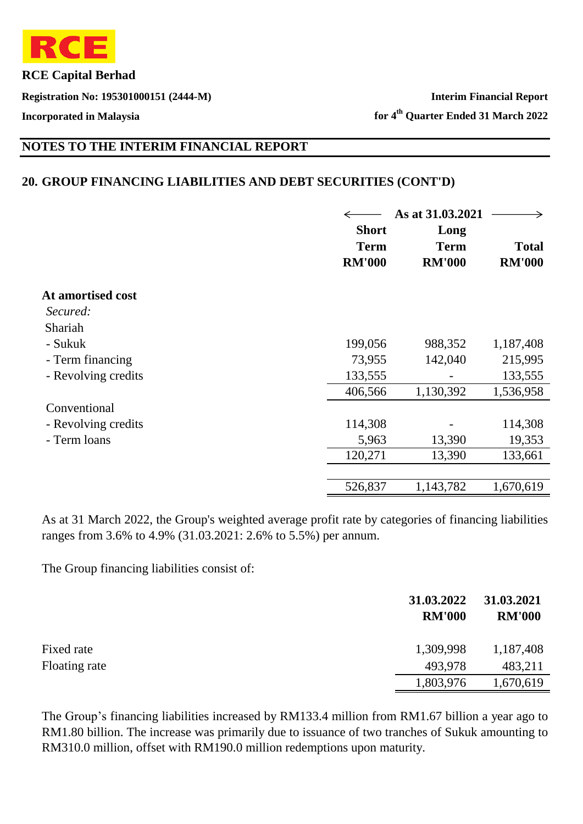

**Registration No: 195301000151 (2444-M) Interim Financial Report**

**Incorporated in Malaysia for 4th Quarter Ended 31 March 2022**

# **NOTES TO THE INTERIM FINANCIAL REPORT**

#### **20. GROUP FINANCING LIABILITIES AND DEBT SECURITIES (CONT'D)**

|                     | <b>Short</b><br><b>Term</b><br><b>RM'000</b> | As at 31.03.2021<br>Long<br><b>Term</b><br><b>RM'000</b> | <b>Total</b><br><b>RM'000</b> |
|---------------------|----------------------------------------------|----------------------------------------------------------|-------------------------------|
| At amortised cost   |                                              |                                                          |                               |
| Secured:            |                                              |                                                          |                               |
| Shariah             |                                              |                                                          |                               |
| - Sukuk             | 199,056                                      | 988,352                                                  | 1,187,408                     |
| - Term financing    | 73,955                                       | 142,040                                                  | 215,995                       |
| - Revolving credits | 133,555                                      |                                                          | 133,555                       |
|                     | 406,566                                      | 1,130,392                                                | 1,536,958                     |
| Conventional        |                                              |                                                          |                               |
| - Revolving credits | 114,308                                      |                                                          | 114,308                       |
| - Term loans        | 5,963                                        | 13,390                                                   | 19,353                        |
|                     | 120,271                                      | 13,390                                                   | 133,661                       |
|                     |                                              |                                                          |                               |
|                     | 526,837                                      | 1,143,782                                                | 1,670,619                     |

As at 31 March 2022, the Group's weighted average profit rate by categories of financing liabilities ranges from 3.6% to 4.9% (31.03.2021: 2.6% to 5.5%) per annum.

The Group financing liabilities consist of:

|               | 31.03.2022<br><b>RM'000</b> | 31.03.2021<br><b>RM'000</b> |
|---------------|-----------------------------|-----------------------------|
| Fixed rate    | 1,309,998                   | 1,187,408                   |
| Floating rate | 493,978                     | 483,211                     |
|               | 1,803,976                   | 1,670,619                   |

The Group's financing liabilities increased by RM133.4 million from RM1.67 billion a year ago to RM1.80 billion. The increase was primarily due to issuance of two tranches of Sukuk amounting to RM310.0 million, offset with RM190.0 million redemptions upon maturity.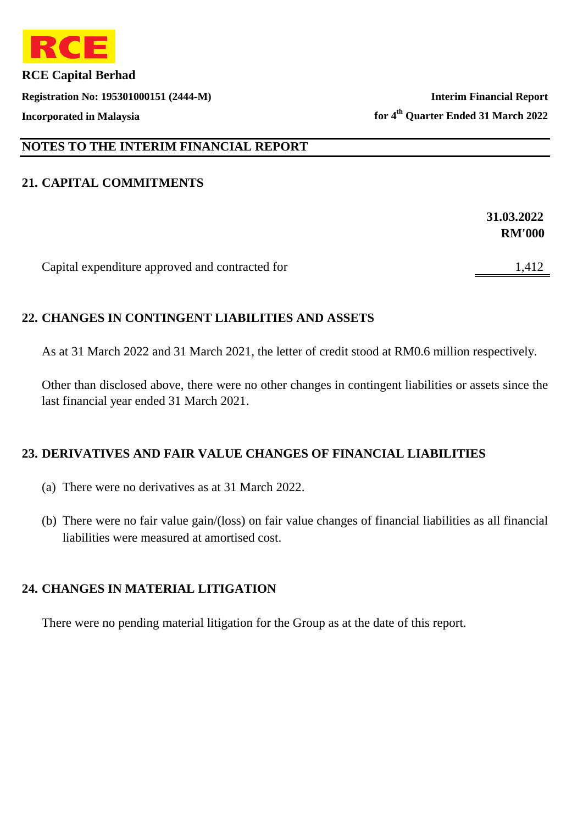

**Registration No: 195301000151 (2444-M) Interim Financial Report Incorporated in Malaysia for 4th Quarter Ended 31 March 2022**

## **NOTES TO THE INTERIM FINANCIAL REPORT**

### **21. CAPITAL COMMITMENTS**

|                                                 | 31.03.2022    |
|-------------------------------------------------|---------------|
|                                                 | <b>RM'000</b> |
|                                                 |               |
| Capital expenditure approved and contracted for | 1,412         |

### **22. CHANGES IN CONTINGENT LIABILITIES AND ASSETS**

As at 31 March 2022 and 31 March 2021, the letter of credit stood at RM0.6 million respectively.

Other than disclosed above, there were no other changes in contingent liabilities or assets since the last financial year ended 31 March 2021.

### **23. DERIVATIVES AND FAIR VALUE CHANGES OF FINANCIAL LIABILITIES**

- (a) There were no derivatives as at 31 March 2022.
- (b) There were no fair value gain/(loss) on fair value changes of financial liabilities as all financial liabilities were measured at amortised cost.

### **24. CHANGES IN MATERIAL LITIGATION**

There were no pending material litigation for the Group as at the date of this report.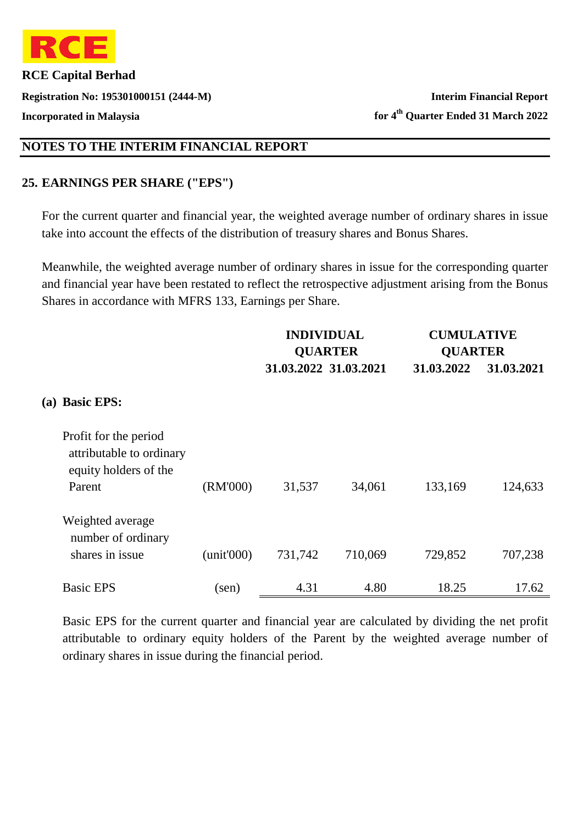

**Registration No: 195301000151 (2444-M) Interim Financial Report**

**Incorporated in Malaysia for 4th Quarter Ended 31 March 2022**

### **NOTES TO THE INTERIM FINANCIAL REPORT**

### **25. EARNINGS PER SHARE ("EPS")**

For the current quarter and financial year, the weighted average number of ordinary shares in issue take into account the effects of the distribution of treasury shares and Bonus Shares.

Meanwhile, the weighted average number of ordinary shares in issue for the corresponding quarter and financial year have been restated to reflect the retrospective adjustment arising from the Bonus Shares in accordance with MFRS 133, Earnings per Share.

|                                                                                      |            | <b>INDIVIDUAL</b> | <b>QUARTER</b>        | <b>CUMULATIVE</b><br><b>QUARTER</b> |            |
|--------------------------------------------------------------------------------------|------------|-------------------|-----------------------|-------------------------------------|------------|
|                                                                                      |            |                   | 31.03.2022 31.03.2021 | 31.03.2022                          | 31.03.2021 |
| (a) Basic EPS:                                                                       |            |                   |                       |                                     |            |
| Profit for the period<br>attributable to ordinary<br>equity holders of the<br>Parent | (RM'000)   | 31,537            | 34,061                | 133,169                             | 124,633    |
| Weighted average<br>number of ordinary<br>shares in issue                            | (unit'000) | 731,742           | 710,069               | 729,852                             | 707,238    |
| <b>Basic EPS</b>                                                                     | (sen)      | 4.31              | 4.80                  | 18.25                               | 17.62      |

Basic EPS for the current quarter and financial year are calculated by dividing the net profit attributable to ordinary equity holders of the Parent by the weighted average number of ordinary shares in issue during the financial period.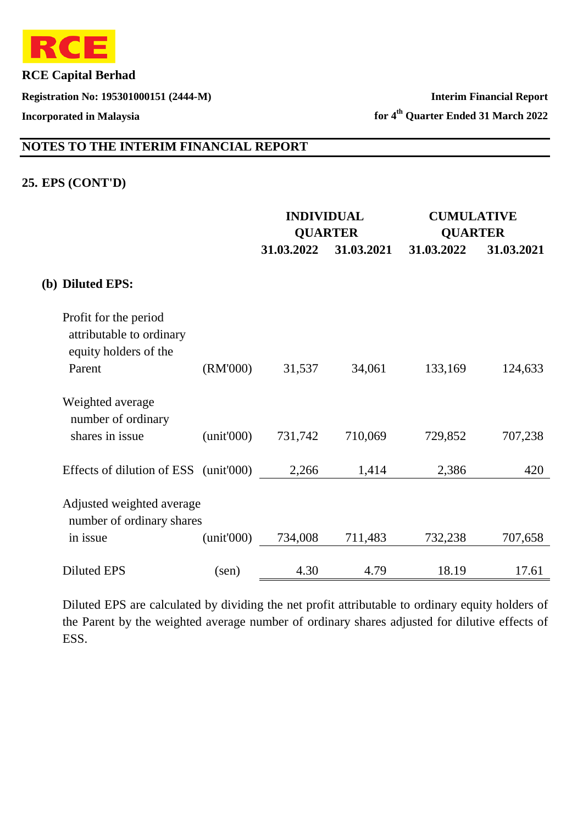

**Registration No: 195301000151 (2444-M) Interim Financial Report**

**Incorporated in Malaysia for 4th Quarter Ended 31 March 2022**

# **NOTES TO THE INTERIM FINANCIAL REPORT**

#### **25. EPS (CONT'D)**

|                                                                            |                |            | <b>INDIVIDUAL</b><br><b>QUARTER</b> |            | <b>CUMULATIVE</b><br><b>QUARTER</b> |
|----------------------------------------------------------------------------|----------------|------------|-------------------------------------|------------|-------------------------------------|
|                                                                            |                | 31.03.2022 | 31.03.2021                          | 31.03.2022 | 31.03.2021                          |
|                                                                            |                |            |                                     |            |                                     |
| (b) Diluted EPS:                                                           |                |            |                                     |            |                                     |
| Profit for the period<br>attributable to ordinary<br>equity holders of the |                |            |                                     |            |                                     |
| Parent                                                                     | (RM'000)       | 31,537     | 34,061                              | 133,169    | 124,633                             |
| Weighted average<br>number of ordinary                                     |                |            |                                     |            |                                     |
| shares in issue                                                            | (unit'000)     | 731,742    | 710,069                             | 729,852    | 707,238                             |
| Effects of dilution of ESS (unit'000)                                      |                | 2,266      | 1,414                               | 2,386      | 420                                 |
| Adjusted weighted average<br>number of ordinary shares                     |                |            |                                     |            |                                     |
| in issue                                                                   | (unit'000)     | 734,008    | 711,483                             | 732,238    | 707,658                             |
| <b>Diluted EPS</b>                                                         | $(\text{sen})$ | 4.30       | 4.79                                | 18.19      | 17.61                               |

Diluted EPS are calculated by dividing the net profit attributable to ordinary equity holders of the Parent by the weighted average number of ordinary shares adjusted for dilutive effects of ESS.